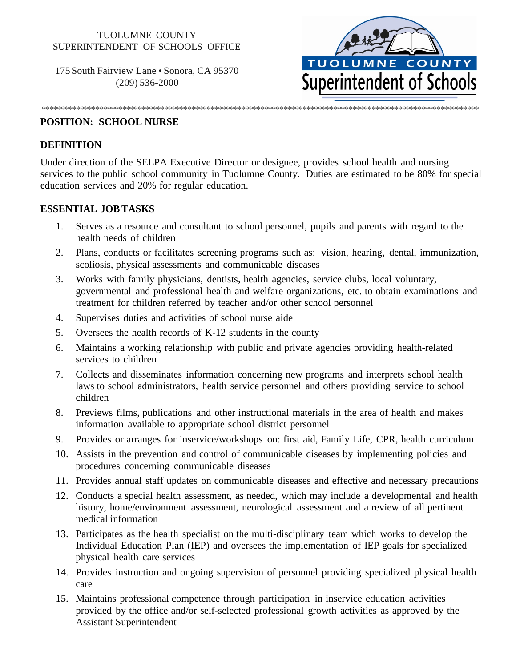# TUOLUMNE COUNTY SUPERINTENDENT OF SCHOOLS OFFICE

175South Fairview Lane • Sonora, CA 95370 (209) 536-2000



#### **POSITION: SCHOOL NURSE**

#### **DEFINITION**

Under direction of the SELPA Executive Director or designee, provides school health and nursing services to the public school community in Tuolumne County. Duties are estimated to be 80% for special education services and 20% for regular education.

\*\*\*\*\*\*\*\*\*\*\*\*\*\*\*\*\*\*\*\*\*\*\*\*\*\*\*\*\*\*\*\*\*\*\*\*\*\*\*\*\*\*\*\*\*\*\*\*\*\*\*\*\*\*\*\*\*\*\*\*\*\*\*\*\*\*\*\*\*\*\*\*\*\*\*\*\*\*\*\*\*\*\*\*\*\*\*\*\*\*\*\*\*\*\*\*\*\*\*\*\*\*\*\*\*\*\*\*\*\*\*\*\*\*

#### **ESSENTIAL JOBTASKS**

- 1. Serves as a resource and consultant to school personnel, pupils and parents with regard to the health needs of children
- 2. Plans, conducts or facilitates screening programs such as: vision, hearing, dental, immunization, scoliosis, physical assessments and communicable diseases
- 3. Works with family physicians, dentists, health agencies, service clubs, local voluntary, governmental and professional health and welfare organizations, etc. to obtain examinations and treatment for children referred by teacher and/or other school personnel
- 4. Supervises duties and activities of school nurse aide
- 5. Oversees the health records of K-12 students in the county
- 6. Maintains a working relationship with public and private agencies providing health-related services to children
- 7. Collects and disseminates information concerning new programs and interprets school health laws to school administrators, health service personnel and others providing service to school children
- 8. Previews films, publications and other instructional materials in the area of health and makes information available to appropriate school district personnel
- 9. Provides or arranges for inservice/workshops on: first aid, Family Life, CPR, health curriculum
- 10. Assists in the prevention and control of communicable diseases by implementing policies and procedures concerning communicable diseases
- 11. Provides annual staff updates on communicable diseases and effective and necessary precautions
- 12. Conducts a special health assessment, as needed, which may include a developmental and health history, home/environment assessment, neurological assessment and a review of all pertinent medical information
- 13. Participates as the health specialist on the multi-disciplinary team which works to develop the Individual Education Plan (IEP) and oversees the implementation of IEP goals for specialized physical health care services
- 14. Provides instruction and ongoing supervision of personnel providing specialized physical health care
- 15. Maintains professional competence through participation in inservice education activities provided by the office and/or self-selected professional growth activities as approved by the Assistant Superintendent